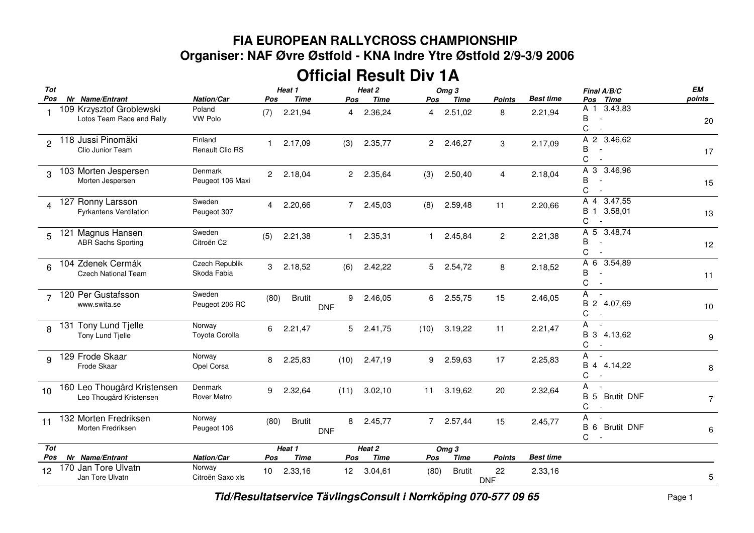## **FIA EUROPEAN RALLYCROSS CHAMPIONSHIP Organiser: NAF Øvre Østfold - KNA Indre Ytre Østfold 2/9-3/9 2006**

## **Official Result Div 1A**

| Tot                     |                                                        |                                    |                | Heat 1        |                 | Heat 2      | Omg <sub>3</sub>     |                  |                  |                  | Final A/B/C                                          | EM             |
|-------------------------|--------------------------------------------------------|------------------------------------|----------------|---------------|-----------------|-------------|----------------------|------------------|------------------|------------------|------------------------------------------------------|----------------|
| Pos                     | Nr Name/Entrant                                        | Nation/Car                         | Pos            | <b>Time</b>   | Pos             | <b>Time</b> | Pos                  | <b>Time</b>      | Points           | <b>Best time</b> | <b>Time</b><br>Pos                                   | points         |
|                         | 109 Krzysztof Groblewski<br>Lotos Team Race and Rally  | Poland<br>VW Polo                  | (7)            | 2.21,94       | 4               | 2.36,24     | 4                    | 2.51,02          | 8                | 2.21,94          | 3.43,83<br>A 1<br>B<br>C                             | 20             |
| 2                       | 118 Jussi Pinomäki<br>Clio Junior Team                 | Finland<br>Renault Clio RS         | $\mathbf{1}$   | 2.17,09       | (3)             | 2.35,77     | $\mathbf{2}^{\circ}$ | 2.46,27          | 3                | 2.17,09          | A 2 3.46,62<br>В<br>C                                | 17             |
| 3                       | 103 Morten Jespersen<br>Morten Jespersen               | <b>Denmark</b><br>Peugeot 106 Maxi | $\overline{2}$ | 2.18,04       | $\overline{2}$  | 2.35,64     | (3)                  | 2.50,40          | 4                | 2.18,04          | A 3 3.46,96<br>В<br>C                                | 15             |
| $\overline{\mathbf{A}}$ | 127 Ronny Larsson<br><b>Fyrkantens Ventilation</b>     | Sweden<br>Peugeot 307              | 4              | 2.20,66       | $\overline{7}$  | 2.45,03     | (8)                  | 2.59,48          | 11               | 2.20,66          | A 4 3.47,55<br>В<br>3.58,01<br>$\mathbf{1}$<br>С     | 13             |
| 5                       | 121 Magnus Hansen<br><b>ABR Sachs Sporting</b>         | Sweden<br>Citroën C2               | (5)            | 2.21,38       | $\mathbf{1}$    | 2.35,31     | 1.                   | 2.45,84          | $\overline{c}$   | 2.21,38          | A 5<br>3.48,74<br>B<br>С                             | 12             |
| 6                       | 104 Zdenek Cermák<br><b>Czech National Team</b>        | Czech Republik<br>Skoda Fabia      | 3              | 2.18,52       | (6)             | 2.42,22     | 5                    | 2.54,72          | 8                | 2.18,52          | A 6 3.54,89<br>B<br>C                                | 11             |
| $\overline{7}$          | 120 Per Gustafsson<br>www.swita.se                     | Sweden<br>Peugeot 206 RC           | (80)           | <b>Brutit</b> | 9<br><b>DNF</b> | 2.46,05     | 6                    | 2.55,75          | 15               | 2.46,05          | A<br>$\overline{\phantom{a}}$<br>В<br>2 4.07,69<br>С | 10             |
| 8                       | 131 Tony Lund Tjelle<br>Tony Lund Tjelle               | Norway<br>Toyota Corolla           | 6              | 2.21,47       | 5               | 2.41,75     | (10)                 | 3.19,22          | 11               | 2.21,47          | A<br>B 3 4.13,62<br>С                                | 9              |
| 9                       | 129 Frode Skaar<br>Frode Skaar                         | Norway<br>Opel Corsa               | 8              | 2.25,83       | (10)            | 2.47,19     | 9                    | 2.59,63          | 17               | 2.25,83          | A<br>$\overline{\phantom{a}}$<br>B 4 4.14,22<br>C    | 8              |
| 10                      | 160 Leo Thougård Kristensen<br>Leo Thougård Kristensen | Denmark<br><b>Rover Metro</b>      | 9              | 2.32,64       | (11)            | 3.02, 10    | 11                   | 3.19,62          | 20               | 2.32,64          | А<br>$\sim$<br><b>Brutit DNF</b><br>В<br>5<br>С      | $\overline{7}$ |
| 11                      | 132 Morten Fredriksen<br>Morten Fredriksen             | Norway<br>Peugeot 106              | (80)           | <b>Brutit</b> | 8<br><b>DNF</b> | 2.45,77     | $\overline{7}$       | 2.57,44          | 15               | 2.45,77          | Α<br>В<br><b>Brutit DNF</b><br>6<br>С                | 6              |
| Tot                     |                                                        |                                    | Heat 1         |               |                 | Heat 2      |                      | Omg <sub>3</sub> |                  |                  |                                                      |                |
| Pos                     | Nr Name/Entrant                                        | Nation/Car                         | Pos            | <b>Time</b>   | Pos             | <b>Time</b> | Pos                  | <b>Time</b>      | <b>Points</b>    | <b>Best time</b> |                                                      |                |
| 12                      | 170 Jan Tore Ulvatn<br>Jan Tore Ulvatn                 | Norway<br>Citroën Saxo xls         | 10             | 2.33,16       | 12 <sup>2</sup> | 3.04,61     | (80)                 | <b>Brutit</b>    | 22<br><b>DNF</b> | 2.33,16          |                                                      | 5              |